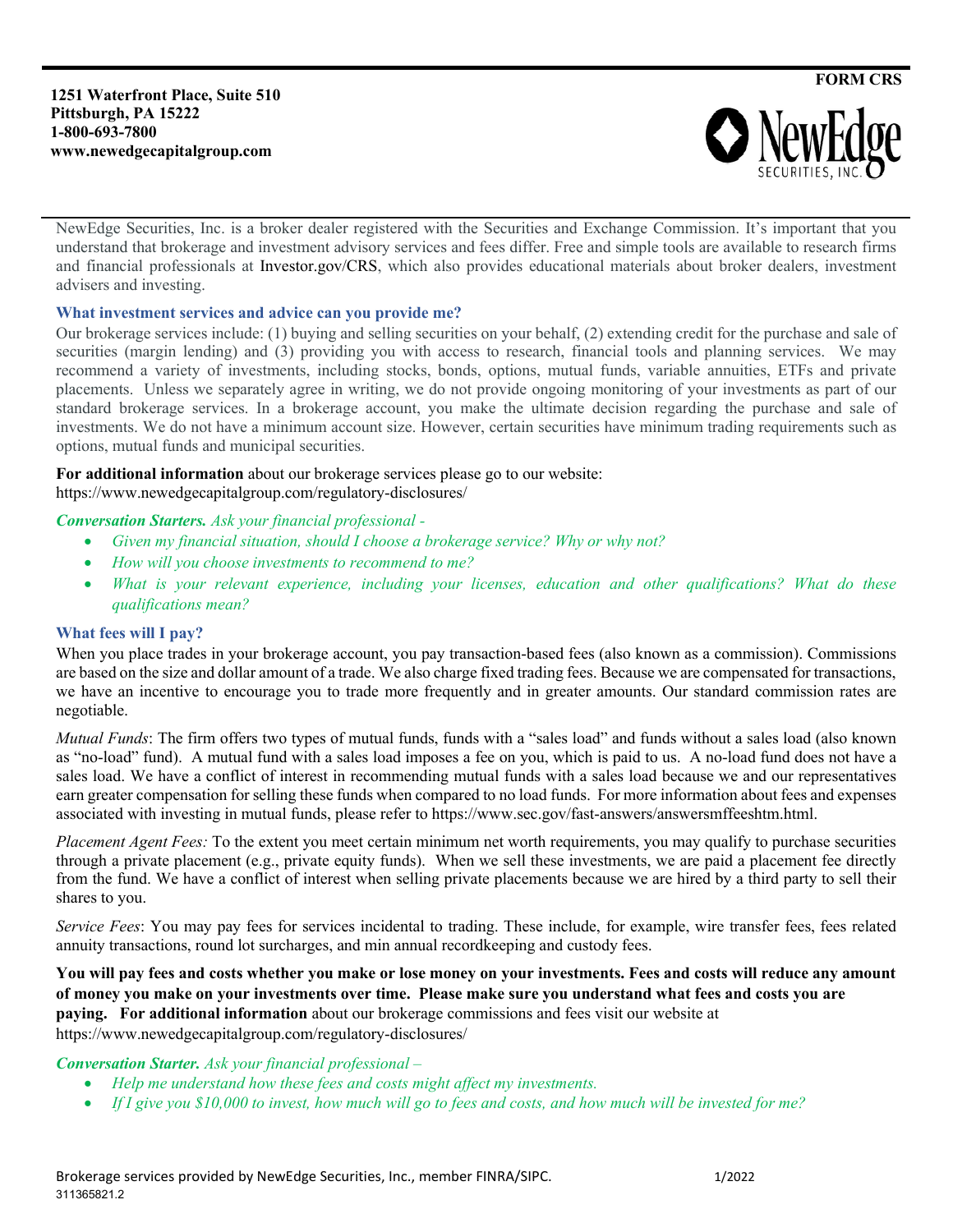**1251 Waterfront Place, Suite 510 Pittsburgh, PA 15222 1-800-693-7800 www.newedgecapitalgroup.com**



NewEdge Securities, Inc. is a broker dealer registered with the Securities and Exchange Commission. It's important that you understand that brokerage and investment advisory services and fees differ. Free and simple tools are available to research firms and financial professionals at Investor.gov/CRS, which also provides educational materials about broker dealers, investment advisers and investing.

#### **What investment services and advice can you provide me?**

Our brokerage services include: (1) buying and selling securities on your behalf, (2) extending credit for the purchase and sale of securities (margin lending) and (3) providing you with access to research, financial tools and planning services. We may recommend a variety of investments, including stocks, bonds, options, mutual funds, variable annuities, ETFs and private placements. Unless we separately agree in writing, we do not provide ongoing monitoring of your investments as part of our standard brokerage services. In a brokerage account, you make the ultimate decision regarding the purchase and sale of investments. We do not have a minimum account size. However, certain securities have minimum trading requirements such as options, mutual funds and municipal securities.

## **For additional information** about our brokerage services please go to our website:

https://www.newedgecapitalgroup.com/regulatory-disclosures/

#### *Conversation Starters. Ask your financial professional -*

- *Given my financial situation, should I choose a brokerage service? Why or why not?*
- *How will you choose investments to recommend to me?*
- *What is your relevant experience, including your licenses, education and other qualifications? What do these qualifications mean?*

#### **What fees will I pay?**

When you place trades in your brokerage account, you pay transaction-based fees (also known as a commission). Commissions are based on the size and dollar amount of a trade. We also charge fixed trading fees. Because we are compensated for transactions, we have an incentive to encourage you to trade more frequently and in greater amounts. Our standard commission rates are negotiable.

*Mutual Funds*: The firm offers two types of mutual funds, funds with a "sales load" and funds without a sales load (also known as "no-load" fund). A mutual fund with a sales load imposes a fee on you, which is paid to us. A no-load fund does not have a sales load. We have a conflict of interest in recommending mutual funds with a sales load because we and our representatives earn greater compensation for selling these funds when compared to no load funds. For more information about fees and expenses associated with investing in mutual funds, please refer to https://www.sec.gov/fast-answers/answersmffeeshtm.html.

*Placement Agent Fees:* To the extent you meet certain minimum net worth requirements, you may qualify to purchase securities through a private placement (e.g., private equity funds). When we sell these investments, we are paid a placement fee directly from the fund. We have a conflict of interest when selling private placements because we are hired by a third party to sell their shares to you.

*Service Fees*: You may pay fees for services incidental to trading. These include, for example, wire transfer fees, fees related annuity transactions, round lot surcharges, and min annual recordkeeping and custody fees.

#### **You will pay fees and costs whether you make or lose money on your investments. Fees and costs will reduce any amount of money you make on your investments over time. Please make sure you understand what fees and costs you are paying. For additional information** about our brokerage commissions and fees visit our website at https://www.newedgecapitalgroup.com/regulatory-disclosures/

### *Conversation Starter. Ask your financial professional –*

- *Help me understand how these fees and costs might affect my investments.*
- *If I give you \$10,000 to invest, how much will go to fees and costs, and how much will be invested for me?*